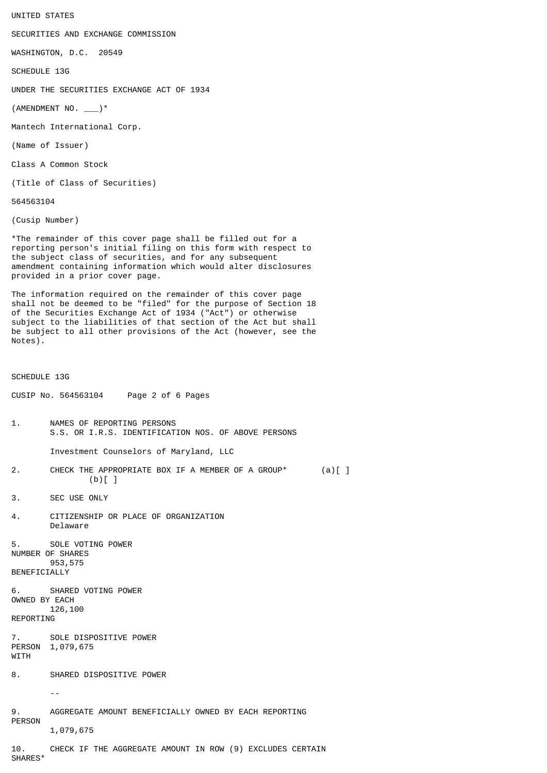UNITED STATES

SECURITIES AND EXCHANGE COMMISSION

WASHINGTON, D.C. 20549

SCHEDULE 13G

UNDER THE SECURITIES EXCHANGE ACT OF 1934

 $($  AMENDMENT NO.  $\rule{1em}{0.5em}$   $\rightarrow$ 

Mantech International Corp.

(Name of Issuer)

Class A Common Stock

(Title of Class of Securities)

564563104

(Cusip Number)

\*The remainder of this cover page shall be filled out for a reporting person's initial filing on this form with respect to the subject class of securities, and for any subsequent amendment containing information which would alter disclosures provided in a prior cover page.

The information required on the remainder of this cover page shall not be deemed to be "filed" for the purpose of Section 18 of the Securities Exchange Act of 1934 ("Act") or otherwise subject to the liabilities of that section of the Act but shall be subject to all other provisions of the Act (however, see the Notes).

SCHEDULE 13G

CUSIP No. 564563104 Page 2 of 6 Pages

1. NAMES OF REPORTING PERSONS S.S. OR I.R.S. IDENTIFICATION NOS. OF ABOVE PERSONS

Investment Counselors of Maryland, LLC

- 2. CHECK THE APPROPRIATE BOX IF A MEMBER OF A GROUP\* (a) [ ]  $(b)$ []
- 3. SEC USE ONLY
- 4. CITIZENSHIP OR PLACE OF ORGANIZATION Delaware

5. SOLE VOTING POWER NUMBER OF SHARES 953,575 **BENEFICIALLY** 

6. SHARED VOTING POWER OWNED BY EACH 126,100 REPORTING

7. SOLE DISPOSITIVE POWER PERSON 1,079,675 **WITH** 

8. SHARED DISPOSITIVE POWER

--

9. AGGREGATE AMOUNT BENEFICIALLY OWNED BY EACH REPORTING PERSON 1,079,675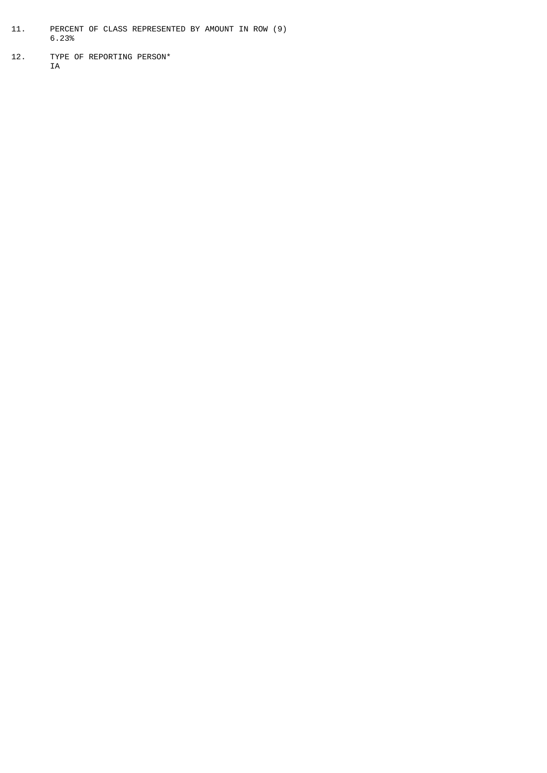- 11. PERCENT OF CLASS REPRESENTED BY AMOUNT IN ROW (9) 6.23%
- 12. TYPE OF REPORTING PERSON\* IA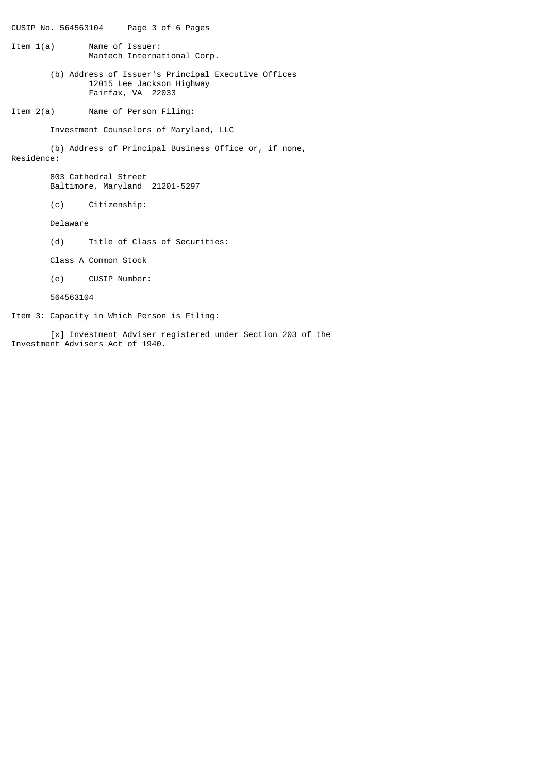CUSIP No. 564563104 Page 3 of 6 Pages

- Item 1(a) Name of Issuer: Mantech International Corp.
	- (b) Address of Issuer's Principal Executive Offices 12015 Lee Jackson Highway Fairfax, VA 22033
- Item 2(a) Name of Person Filing:

Investment Counselors of Maryland, LLC

(b) Address of Principal Business Office or, if none, Residence:

> 803 Cathedral Street Baltimore, Maryland 21201-5297

(c) Citizenship:

Delaware

(d) Title of Class of Securities:

Class A Common Stock

(e) CUSIP Number:

564563104

Item 3: Capacity in Which Person is Filing:

[x] Investment Adviser registered under Section 203 of the Investment Advisers Act of 1940.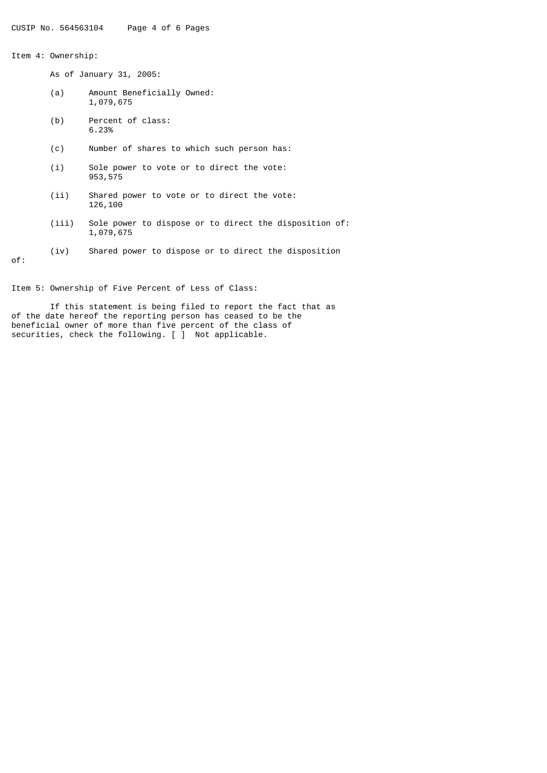Item 4: Ownership:

As of January 31, 2005:

- (a) Amount Beneficially Owned: 1,079,675
- (b) Percent of class: 6.23%
- (c) Number of shares to which such person has:
- (i) Sole power to vote or to direct the vote: 953,575
- (ii) Shared power to vote or to direct the vote: 126,100
- (iii) Sole power to dispose or to direct the disposition of: 1,079,675
- (iv) Shared power to dispose or to direct the disposition

of:

Item 5: Ownership of Five Percent of Less of Class:

If this statement is being filed to report the fact that as of the date hereof the reporting person has ceased to be the beneficial owner of more than five percent of the class of securities, check the following. [ ] Not applicable.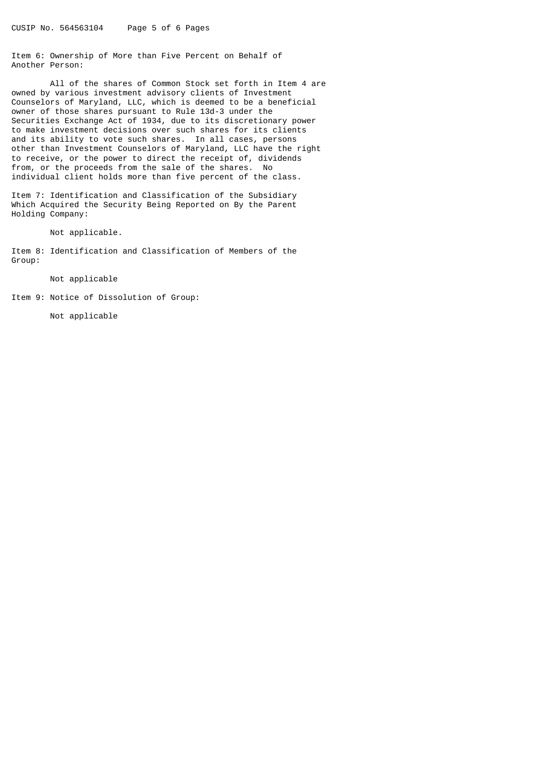Item 6: Ownership of More than Five Percent on Behalf of Another Person:

All of the shares of Common Stock set forth in Item 4 are owned by various investment advisory clients of Investment Counselors of Maryland, LLC, which is deemed to be a beneficial owner of those shares pursuant to Rule 13d-3 under the Securities Exchange Act of 1934, due to its discretionary power to make investment decisions over such shares for its clients and its ability to vote such shares. In all cases, persons other than Investment Counselors of Maryland, LLC have the right to receive, or the power to direct the receipt of, dividends from, or the proceeds from the sale of the shares. No individual client holds more than five percent of the class.

Item 7: Identification and Classification of the Subsidiary Which Acquired the Security Being Reported on By the Parent Holding Company:

Not applicable.

Item 8: Identification and Classification of Members of the Group:

Not applicable

Item 9: Notice of Dissolution of Group:

Not applicable